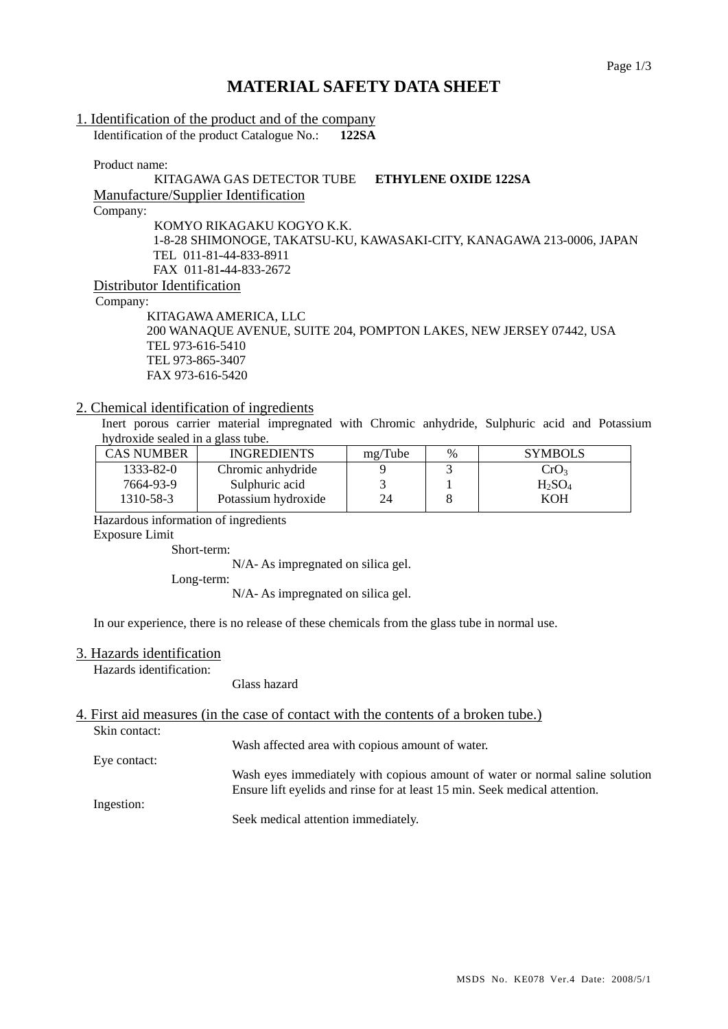## **MATERIAL SAFETY DATA SHEET**

# 1. Identification of the product and of the company

Identification of the product Catalogue No.: **122SA**

Product name:

### KITAGAWA GAS DETECTOR TUBE **ETHYLENE OXIDE 122SA**  Manufacture/Supplier Identification Company: KOMYO RIKAGAKU KOGYO K.K. 1-8-28 SHIMONOGE, TAKATSU-KU, KAWASAKI-CITY, KANAGAWA 213-0006, JAPAN TEL 011-81-44-833-8911 FAX 011-81-44-833-2672 Distributor Identification

Company:

 KITAGAWA AMERICA, LLC 200 WANAQUE AVENUE, SUITE 204, POMPTON LAKES, NEW JERSEY 07442, USA TEL 973-616-5410 TEL 973-865-3407 FAX 973-616-5420

#### 2. Chemical identification of ingredients

Inert porous carrier material impregnated with Chromic anhydride, Sulphuric acid and Potassium hydroxide sealed in a glass tube.

| <b>CAS NUMBER</b> | <b>INGREDIENTS</b>  | mg/Tube | $\%$ | <b>SYMBOLS</b>   |
|-------------------|---------------------|---------|------|------------------|
| 1333-82-0         | Chromic anhydride   |         |      | CrO <sub>3</sub> |
| 7664-93-9         | Sulphuric acid      |         |      | $H_2SO_4$        |
| 1310-58-3         | Potassium hydroxide | 24      |      | KOH              |

Hazardous information of ingredients

Exposure Limit

Short-term:

N/A- As impregnated on silica gel.

Long-term:

N/A- As impregnated on silica gel.

In our experience, there is no release of these chemicals from the glass tube in normal use.

#### 3. Hazards identification

Hazards identification:

Glass hazard

# 4. First aid measures (in the case of contact with the contents of a broken tube.)

Skin contact:

Wash affected area with copious amount of water.

Eye contact:

Wash eyes immediately with copious amount of water or normal saline solution Ensure lift eyelids and rinse for at least 15 min. Seek medical attention.

Ingestion:

Seek medical attention immediately.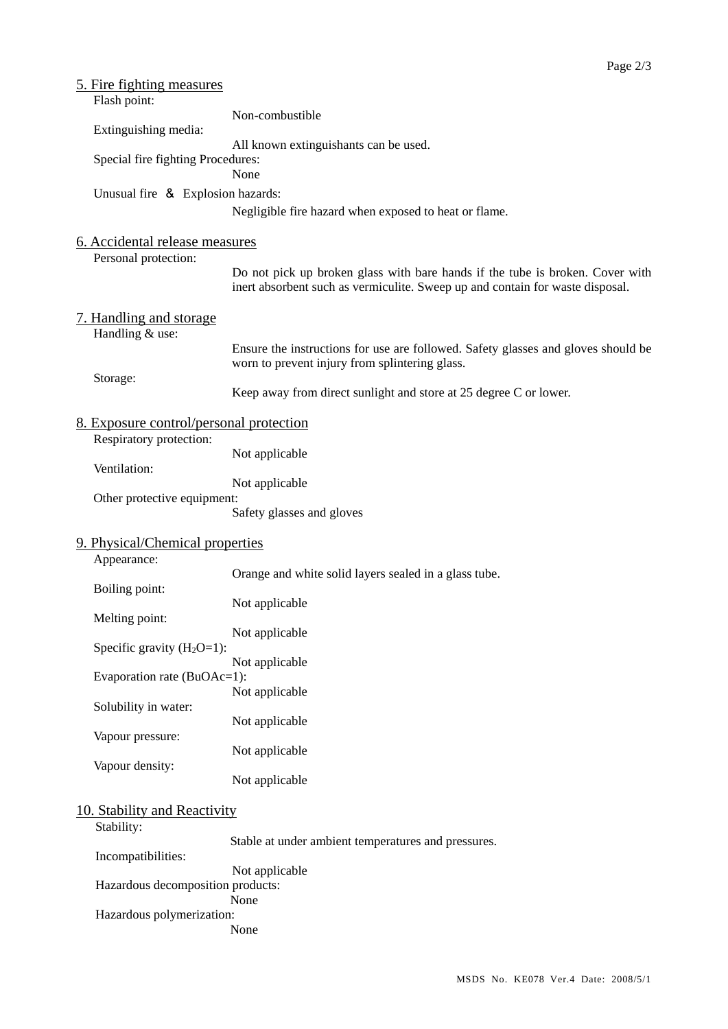| <u>5. Fire fighting measures</u><br>Flash point:       |                                                                                                                                                                |  |
|--------------------------------------------------------|----------------------------------------------------------------------------------------------------------------------------------------------------------------|--|
| Extinguishing media:                                   | Non-combustible                                                                                                                                                |  |
|                                                        | All known extinguishants can be used.                                                                                                                          |  |
| Special fire fighting Procedures:                      | None                                                                                                                                                           |  |
| Unusual fire & Explosion hazards:                      |                                                                                                                                                                |  |
|                                                        | Negligible fire hazard when exposed to heat or flame.                                                                                                          |  |
| 6. Accidental release measures<br>Personal protection: |                                                                                                                                                                |  |
|                                                        | Do not pick up broken glass with bare hands if the tube is broken. Cover with<br>inert absorbent such as vermiculite. Sweep up and contain for waste disposal. |  |
| 7. Handling and storage<br>Handling & use:             |                                                                                                                                                                |  |
|                                                        | Ensure the instructions for use are followed. Safety glasses and gloves should be<br>worn to prevent injury from splintering glass.                            |  |
| Storage:                                               | Keep away from direct sunlight and store at 25 degree C or lower.                                                                                              |  |
| 8. Exposure control/personal protection                |                                                                                                                                                                |  |
| Respiratory protection:<br>Ventilation:                | Not applicable                                                                                                                                                 |  |
|                                                        | Not applicable                                                                                                                                                 |  |
| Other protective equipment:                            | Safety glasses and gloves                                                                                                                                      |  |
| 9. Physical/Chemical properties<br>Appearance:         |                                                                                                                                                                |  |
| Boiling point:                                         | Orange and white solid layers sealed in a glass tube.                                                                                                          |  |
| Melting point:                                         | Not applicable                                                                                                                                                 |  |
|                                                        | Not applicable                                                                                                                                                 |  |
| Specific gravity $(H_2O=1)$ :                          | Not applicable                                                                                                                                                 |  |
| Evaporation rate (BuOAc=1):                            | Not applicable                                                                                                                                                 |  |
| Solubility in water:                                   | Not applicable                                                                                                                                                 |  |
| Vapour pressure:                                       | Not applicable                                                                                                                                                 |  |
| Vapour density:                                        | Not applicable                                                                                                                                                 |  |
| 10. Stability and Reactivity                           |                                                                                                                                                                |  |
| Stability:                                             |                                                                                                                                                                |  |
| Incompatibilities:                                     | Stable at under ambient temperatures and pressures.                                                                                                            |  |
| Hazardous decomposition products:                      | Not applicable<br>None                                                                                                                                         |  |
| Hazardous polymerization:                              |                                                                                                                                                                |  |
|                                                        | None                                                                                                                                                           |  |